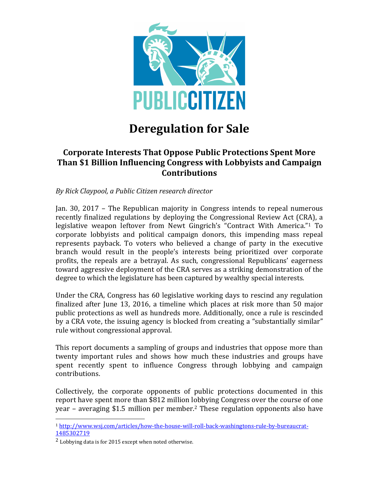

# **Deregulation for Sale**

### **Corporate Interests That Oppose Public Protections Spent More Than \$1 Billion Influencing Congress with Lobbyists and Campaign Contributions**

*By Rick Claypool, a Public Citizen research director*

Jan. 30, 2017 – The Republican majority in Congress intends to repeal numerous recently finalized regulations by deploying the Congressional Review Act (CRA), a legislative weapon leftover from Newt Gingrich's "Contract With America."<sup>1</sup> To corporate lobbyists and political campaign donors, this impending mass repeal represents payback. To voters who believed a change of party in the executive branch would result in the people's interests being prioritized over corporate profits, the repeals are a betrayal. As such, congressional Republicans' eagerness toward aggressive deployment of the CRA serves as a striking demonstration of the degree to which the legislature has been captured by wealthy special interests.

Under the CRA, Congress has 60 legislative working days to rescind any regulation finalized after June 13, 2016, a timeline which places at risk more than 50 major public protections as well as hundreds more. Additionally, once a rule is rescinded by a CRA vote, the issuing agency is blocked from creating a "substantially similar" rule without congressional approval.

This report documents a sampling of groups and industries that oppose more than twenty important rules and shows how much these industries and groups have spent recently spent to influence Congress through lobbying and campaign contributions. 

Collectively, the corporate opponents of public protections documented in this report have spent more than \$812 million lobbying Congress over the course of one year – averaging \$1.5 million per member.<sup>2</sup> These regulation opponents also have

<sup>1</sup> http://www.wsj.com/articles/how-the-house-will-roll-back-washingtons-rule-by-bureaucrat-1485302719

 $2$  Lobbying data is for 2015 except when noted otherwise.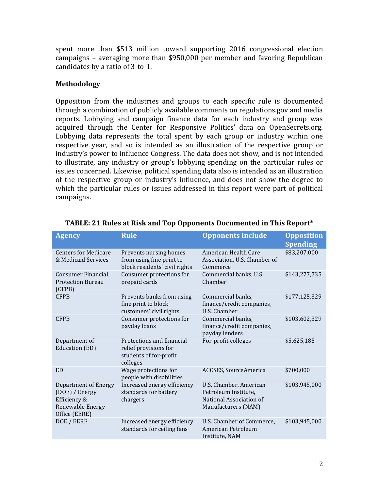spent more than \$513 million toward supporting 2016 congressional election campaigns – averaging more than  $$950,000$  per member and favoring Republican candidates by a ratio of 3-to-1.

#### **Methodology**

Opposition from the industries and groups to each specific rule is documented through a combination of publicly available comments on regulations.gov and media reports. Lobbying and campaign finance data for each industry and group was acquired through the Center for Responsive Politics' data on OpenSecrets.org. Lobbying data represents the total spent by each group or industry within one respective year, and so is intended as an illustration of the respective group or industry's power to influence Congress. The data does not show, and is not intended to illustrate, any industry or group's lobbying spending on the particular rules or issues concerned. Likewise, political spending data also is intended as an illustration of the respective group or industry's influence, and does not show the degree to which the particular rules or issues addressed in this report were part of political campaigns.

| <b>Agency</b>                                                                               | <b>Rule</b>                                                                              | <b>Opponents Include</b>                                                                         | <b>Opposition</b><br><b>Spending</b> |
|---------------------------------------------------------------------------------------------|------------------------------------------------------------------------------------------|--------------------------------------------------------------------------------------------------|--------------------------------------|
| <b>Centers for Medicare</b><br>& Medicaid Services                                          | Prevents nursing homes<br>from using fine print to<br>block residents' civil rights      | American Health Care<br>Association, U.S. Chamber of<br>Commerce                                 | \$83,207,000                         |
| <b>Consumer Financial</b><br><b>Protection Bureau</b><br>(CFPB)                             | Consumer protections for<br>prepaid cards                                                | Commercial banks, U.S.<br>Chamber                                                                | \$143,277,735                        |
| <b>CFPB</b>                                                                                 | Prevents banks from using<br>fine print to block<br>customers' civil rights              | Commercial banks.<br>finance/credit companies,<br>U.S. Chamber                                   | \$177,125,329                        |
| <b>CFPB</b>                                                                                 | Consumer protections for<br>payday loans                                                 | Commercial banks,<br>finance/credit companies,<br>payday lenders                                 | \$103,602,329                        |
| Department of<br>Education (ED)                                                             | Protections and financial<br>relief provisions for<br>students of for-profit<br>colleges | For-profit colleges                                                                              | \$5,625,185                          |
| <b>ED</b>                                                                                   | Wage protections for<br>people with disabilities                                         | ACCSES, SourceAmerica                                                                            | \$700,000                            |
| Department of Energy<br>(DOE) / Energy<br>Efficiency &<br>Renewable Energy<br>Office (EERE) | Increased energy efficiency<br>standards for battery<br>chargers                         | U.S. Chamber, American<br>Petroleum Institute,<br>National Association of<br>Manufacturers (NAM) | \$103,945,000                        |
| DOE / EERE                                                                                  | Increased energy efficiency<br>standards for ceiling fans                                | U.S. Chamber of Commerce,<br>American Petroleum<br>Institute, NAM                                | \$103,945,000                        |

TABLE: 21 Rules at Risk and Top Opponents Documented in This Report\*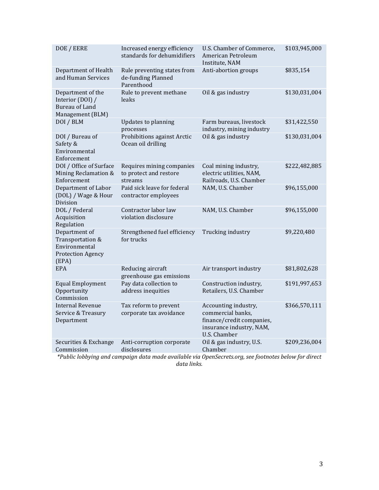| DOE / EERE                                                                              | Increased energy efficiency<br>standards for dehumidifiers      | U.S. Chamber of Commerce,<br>American Petroleum<br>Institute, NAM                                                  | \$103,945,000 |
|-----------------------------------------------------------------------------------------|-----------------------------------------------------------------|--------------------------------------------------------------------------------------------------------------------|---------------|
| Department of Health<br>and Human Services                                              | Rule preventing states from<br>de-funding Planned<br>Parenthood | Anti-abortion groups                                                                                               | \$835,154     |
| Department of the<br>Interior (DOI) /<br><b>Bureau of Land</b><br>Management (BLM)      | Rule to prevent methane<br>leaks                                | Oil & gas industry                                                                                                 | \$130,031,004 |
| DOI / BLM                                                                               | <b>Updates to planning</b><br>processes                         | Farm bureaus, livestock<br>industry, mining industry                                                               | \$31,422,550  |
| DOI / Bureau of<br>Safety &<br>Environmental<br>Enforcement                             | Prohibitions against Arctic<br>Ocean oil drilling               | Oil & gas industry                                                                                                 | \$130,031,004 |
| DOI / Office of Surface<br>Mining Reclamation &<br>Enforcement                          | Requires mining companies<br>to protect and restore<br>streams  | Coal mining industry,<br>electric utilities, NAM,<br>Railroads, U.S. Chamber                                       | \$222,482,885 |
| Department of Labor<br>(DOL) / Wage & Hour<br>Division                                  | Paid sick leave for federal<br>contractor employees             | NAM, U.S. Chamber                                                                                                  | \$96,155,000  |
| DOL / Federal<br>Acquisition<br>Regulation                                              | Contractor labor law<br>violation disclosure                    | NAM, U.S. Chamber                                                                                                  | \$96,155,000  |
| Department of<br>Transportation &<br>Environmental<br><b>Protection Agency</b><br>(EPA) | Strengthened fuel efficiency<br>for trucks                      | Trucking industry                                                                                                  | \$9,220,480   |
| <b>EPA</b>                                                                              | Reducing aircraft<br>greenhouse gas emissions                   | Air transport industry                                                                                             | \$81,802,628  |
| <b>Equal Employment</b><br>Opportunity<br>Commission                                    | Pay data collection to<br>address inequities                    | Construction industry,<br>Retailers, U.S. Chamber                                                                  | \$191,997,653 |
| <b>Internal Revenue</b><br>Service & Treasury<br>Department                             | Tax reform to prevent<br>corporate tax avoidance                | Accounting industry,<br>commercial banks,<br>finance/credit companies,<br>insurance industry, NAM,<br>U.S. Chamber | \$366,570,111 |
| Securities & Exchange<br>Commission                                                     | Anti-corruption corporate<br>disclosures                        | Oil & gas industry, U.S.<br>Chamber                                                                                | \$209,236,004 |
|                                                                                         |                                                                 | *Public lobbying and campaign data made available via OpenSecrets.org, see footnotes below for direct              |               |

*data links.*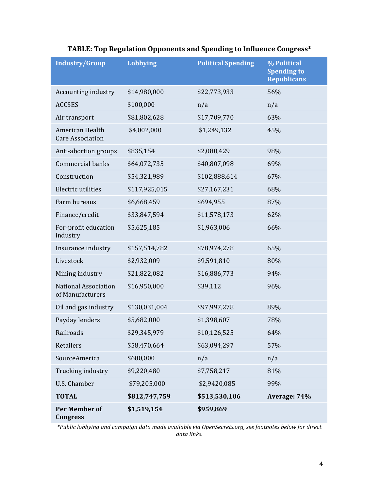| <b>Industry/Group</b>                           | Lobbying      | <b>Political Spending</b> | % Political<br><b>Spending to</b><br><b>Republicans</b> |
|-------------------------------------------------|---------------|---------------------------|---------------------------------------------------------|
| Accounting industry                             | \$14,980,000  | \$22,773,933              | 56%                                                     |
| <b>ACCSES</b>                                   | \$100,000     | n/a                       | n/a                                                     |
| Air transport                                   | \$81,802,628  | \$17,709,770              | 63%                                                     |
| American Health<br><b>Care Association</b>      | \$4,002,000   | \$1,249,132               | 45%                                                     |
| Anti-abortion groups                            | \$835,154     | \$2,080,429               | 98%                                                     |
| <b>Commercial banks</b>                         | \$64,072,735  | \$40,807,098              | 69%                                                     |
| Construction                                    | \$54,321,989  | \$102,888,614             | 67%                                                     |
| Electric utilities                              | \$117,925,015 | \$27,167,231              | 68%                                                     |
| Farm bureaus                                    | \$6,668,459   | \$694,955                 | 87%                                                     |
| Finance/credit                                  | \$33,847,594  | \$11,578,173              | 62%                                                     |
| For-profit education<br>industry                | \$5,625,185   | \$1,963,006               | 66%                                                     |
| Insurance industry                              | \$157,514,782 | \$78,974,278              | 65%                                                     |
| Livestock                                       | \$2,932,009   | \$9,591,810               | 80%                                                     |
| Mining industry                                 | \$21,822,082  | \$16,886,773              | 94%                                                     |
| <b>National Association</b><br>of Manufacturers | \$16,950,000  | \$39,112                  | 96%                                                     |
| Oil and gas industry                            | \$130,031,004 | \$97,997,278              | 89%                                                     |
| Payday lenders                                  | \$5,682,000   | \$1,398,607               | 78%                                                     |
| Railroads                                       | \$29,345,979  | \$10,126,525              | 64%                                                     |
| Retailers                                       | \$58,470,664  | \$63,094,297              | 57%                                                     |
| SourceAmerica                                   | \$600,000     | n/a                       | n/a                                                     |
| Trucking industry                               | \$9,220,480   | \$7,758,217               | 81%                                                     |
| U.S. Chamber                                    | \$79,205,000  | \$2,9420,085              | 99%                                                     |
| <b>TOTAL</b>                                    | \$812,747,759 | \$513,530,106             | Average: 74%                                            |
| <b>Per Member of</b><br><b>Congress</b>         | \$1,519,154   | \$959,869                 |                                                         |

### TABLE: Top Regulation Opponents and Spending to Influence Congress\*

*\*Public lobbying and campaign data made available via OpenSecrets.org, see footnotes below for direct data links.*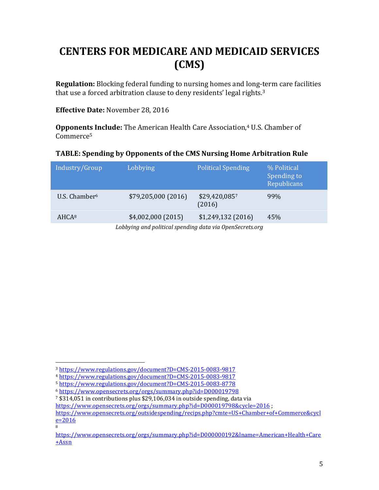# **CENTERS FOR MEDICARE AND MEDICAID SERVICES (CMS)**

**Regulation:** Blocking federal funding to nursing homes and long-term care facilities that use a forced arbitration clause to deny residents' legal rights. $3$ 

**Effective Date: November 28, 2016** 

**Opponents Include:** The American Health Care Association,<sup>4</sup> U.S. Chamber of Commerce5

### **TABLE: Spending by Opponents of the CMS Nursing Home Arbitration Rule**

| Industry/Group            | Lobbying            | <b>Political Spending</b> | % Political<br>Spending to<br><b>Republicans</b> |
|---------------------------|---------------------|---------------------------|--------------------------------------------------|
| U.S. Chamber <sup>6</sup> | \$79,205,000 (2016) | \$29,420,0857<br>(2016)   | 99%                                              |
| AHCA <sup>8</sup>         | \$4,002,000(2015)   | \$1,249,132 (2016)        | 45%                                              |

Lobbying and political spending data via OpenSecrets.org

8

 $7$  \$314,051 in contributions plus \$29,106,034 in outside spending, data via

 <sup>3</sup> https://www.regulations.gov/document?D=CMS-2015-0083-9817

<sup>4</sup> https://www.regulations.gov/document?D=CMS-2015-0083-9817

<sup>5</sup> https://www.regulations.gov/document?D=CMS-2015-0083-8778

<sup>6</sup> https://www.opensecrets.org/orgs/summary.php?id=D000019798

https://www.opensecrets.org/orgs/summary.php?id=D000019798&cycle=2016 ;

https://www.opensecrets.org/outsidespending/recips.php?cmte=US+Chamber+of+Commerce&cycl e=2016

https://www.opensecrets.org/orgs/summary.php?id=D000000192&lname=American+Health+Care +Assn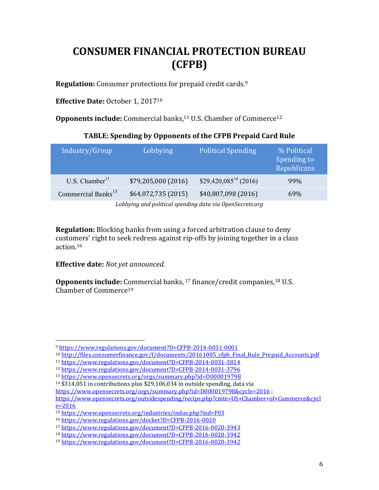# **CONSUMER FINANCIAL PROTECTION BUREAU (CFPB)**

**Regulation:** Consumer protections for prepaid credit cards.<sup>9</sup>

**Effective Date:** October 1, 2017<sup>10</sup>

**Opponents include:** Commercial banks,<sup>11</sup> U.S. Chamber of Commerce<sup>12</sup>

### TABLE: Spending by Opponents of the CFPB Prepaid Card Rule

| Industry/Group                 | Lobbying            | <b>Political Spending</b>          | % Political<br>Spending to<br>Republicans |
|--------------------------------|---------------------|------------------------------------|-------------------------------------------|
| U.S. Chamber <sup>13</sup>     | \$79,205,000 (2016) | $$29,420,085$ <sup>14</sup> (2016) | 99%                                       |
| Commercial Banks <sup>15</sup> | \$64,072,735 (2015) | \$40,807,098 (2016)                | 69%                                       |

Lobbying and political spending data via OpenSecrets.org

**Regulation:** Blocking banks from using a forced arbitration clause to deny customers' right to seek redress against rip-offs by joining together in a class action.16

**Effective date:** Not yet announced.

 

**Opponents include:** Commercial banks, <sup>17</sup> finance/credit companies, <sup>18</sup> U.S. Chamber of Commerce<sup>19</sup>

<sup>9</sup> https://www.regulations.gov/document?D=CFPB-2014-0031-0001

<sup>&</sup>lt;sup>10</sup> http://files.consumerfinance.gov/f/documents/20161005 cfpb Final Rule Prepaid Accounts.pdf

<sup>11</sup> https://www.regulations.gov/document?D=CFPB-2014-0031-3814

<sup>12</sup> https://www.regulations.gov/document?D=CFPB-2014-0031-3796

<sup>13</sup> https://www.opensecrets.org/orgs/summary.php?id=D000019798

 $14$  \$314,051 in contributions plus \$29,106,034 in outside spending, data via

https://www.opensecrets.org/orgs/summary.php?id=D000019798&cycle=2016;

https://www.opensecrets.org/outsidespending/recips.php?cmte=US+Chamber+of+Commerce&cycl  $e = 2016$ 

<sup>15</sup> https://www.opensecrets.org/industries/indus.php?ind=F03

<sup>16</sup> https://www.regulations.gov/docket?D=CFPB-2016-0020

<sup>17</sup> https://www.regulations.gov/document?D=CFPB-2016-0020-3943

<sup>18</sup> https://www.regulations.gov/document?D=CFPB-2016-0020-3942

<sup>19</sup> https://www.regulations.gov/document?D=CFPB-2016-0020-3942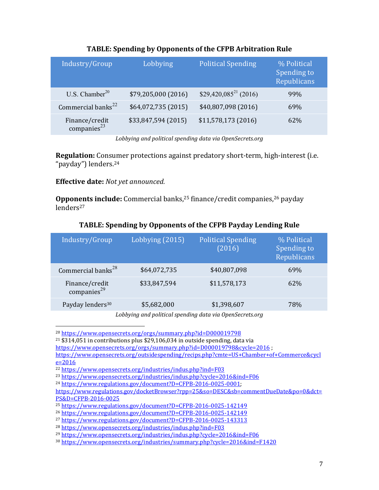| Industry/Group                      | Lobbying            | <b>Political Spending</b>  | % Political<br>Spending to<br>Republicans |
|-------------------------------------|---------------------|----------------------------|-------------------------------------------|
| U.S. Chamber <sup>20</sup>          | \$79,205,000 (2016) | $$29,420,085^{21}, (2016)$ | 99%                                       |
| Commercial banks <sup>22</sup>      | \$64,072,735 (2015) | \$40,807,098 (2016)        | 69%                                       |
| Finance/credit<br>companies $^{23}$ | \$33,847,594 (2015) | \$11,578,173 (2016)        | 62%                                       |

### TABLE: Spending by Opponents of the CFPB Arbitration Rule

Lobbying and political spending data via OpenSecrets.org

**Regulation:** Consumer protections against predatory short-term, high-interest (i.e. "payday") lenders.<sup>24</sup>

### **Effective date:** Not yet announced.

 

**Opponents include:** Commercial banks,<sup>25</sup> finance/credit companies,<sup>26</sup> payday lenders<sup>27</sup>

| Industry/Group                      | Lobbying (2015) | <b>Political Spending</b><br>(2016) | % Political<br>Spending to<br>Republicans |
|-------------------------------------|-----------------|-------------------------------------|-------------------------------------------|
| Commercial banks <sup>28</sup>      | \$64,072,735    | \$40,807,098                        | 69%                                       |
| Finance/credit<br>companies $^{29}$ | \$33,847,594    | \$11,578,173                        | 62\%                                      |
| Payday lenders <sup>30</sup>        | \$5,682,000     | \$1,398,607                         | 78%                                       |

### TABLE: Spending by Opponents of the CFPB Payday Lending Rule

Lobbying and political spending data via OpenSecrets.org

<sup>20</sup> https://www.opensecrets.org/orgs/summary.php?id=D000019798

 $21$  \$314,051 in contributions plus \$29,106,034 in outside spending, data via

https://www.opensecrets.org/orgs/summary.php?id=D000019798&cycle=2016 ;

https://www.opensecrets.org/outsidespending/recips.php?cmte=US+Chamber+of+Commerce&cycl  $e = 2016$ 

<sup>23</sup> https://www.opensecrets.org/industries/indus.php?cycle=2016&ind=F06

<sup>22</sup> https://www.opensecrets.org/industries/indus.php?ind=F03

<sup>24</sup> https://www.regulations.gov/document?D=CFPB-2016-0025-0001; 

https://www.regulations.gov/docketBrowser?rpp=25&so=DESC&sb=commentDueDate&po=0&dct= PS&D=CFPB-2016-0025

<sup>25</sup> https://www.regulations.gov/document?D=CFPB-2016-0025-142149

<sup>26</sup> https://www.regulations.gov/document?D=CFPB-2016-0025-142149

<sup>27</sup> https://www.regulations.gov/document?D=CFPB-2016-0025-143313

<sup>28</sup> https://www.opensecrets.org/industries/indus.php?ind=F03

<sup>29</sup> https://www.opensecrets.org/industries/indus.php?cycle=2016&ind=F06

<sup>30</sup> https://www.opensecrets.org/industries/summary.php?cycle=2016&ind=F1420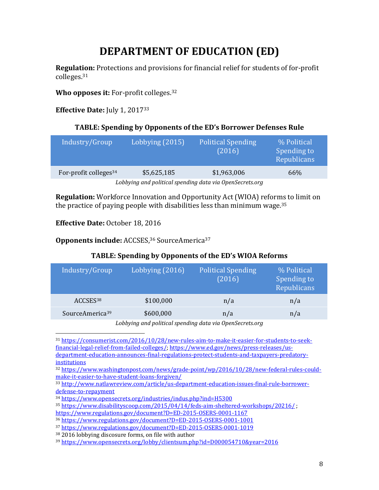# **DEPARTMENT OF EDUCATION (ED)**

**Regulation:** Protections and provisions for financial relief for students of for-profit colleges.31

**Who opposes it:** For-profit colleges.<sup>32</sup>

**Effective Date:** July 1, 2017<sup>33</sup>

### **TABLE: Spending by Opponents of the ED's Borrower Defenses Rule**

| Industry/Group                                           | Lobbying (2015) | <b>Political Spending</b><br>(2016) | % Political<br>Spending to<br>Republicans |  |
|----------------------------------------------------------|-----------------|-------------------------------------|-------------------------------------------|--|
| For-profit colleges <sup>34</sup>                        | \$5,625,185     | \$1,963,006                         | 66%                                       |  |
| Lobbying and political spending data via OpenSecrets.org |                 |                                     |                                           |  |

**Regulation:** Workforce Innovation and Opportunity Act (WIOA) reforms to limit on the practice of paying people with disabilities less than minimum wage.<sup>35</sup>

**Effective Date:** October 18, 2016

 

**Opponents include:** ACCSES,<sup>36</sup> SourceAmerica<sup>37</sup>

### TABLE: Spending by Opponents of the ED's WIOA Reforms

| Industry/Group              | Lobbying (2016)                                       | <b>Political Spending</b><br>(2016) | % Political<br>Spending to<br>Republicans |
|-----------------------------|-------------------------------------------------------|-------------------------------------|-------------------------------------------|
| ACCSES <sup>38</sup>        | \$100,000                                             | n/a                                 | n/a                                       |
| SourceAmerica <sup>39</sup> | \$600,000                                             | n/a                                 | n/a                                       |
|                             | $\mathbf{v}$ . The set of $\mathbf{v}$<br><b>TII.</b> | $\cdots$ , $\cdots$ , $\cdots$      |                                           |

<sup>31</sup> https://consumerist.com/2016/10/28/new-rules-aim-to-make-it-easier-for-students-to-seekfinancial-legal-relief-from-failed-colleges/; https://www.ed.gov/news/press-releases/usdepartment-education-announces-final-regulations-protect-students-and-taxpayers-predatoryinstitutions

<sup>32</sup> https://www.washingtonpost.com/news/grade-point/wp/2016/10/28/new-federal-rules-couldmake-it-easier-to-have-student-loans-forgiven/

<sup>33</sup> http://www.natlawreview.com/article/us-department-education-issues-final-rule-borrowerdefense-to-repayment

<sup>34</sup> https://www.opensecrets.org/industries/indus.php?ind=H5300

<sup>&</sup>lt;sup>35</sup> https://www.disabilityscoop.com/2015/04/14/feds-aim-sheltered-workshops/20216/:

https://www.regulations.gov/document?D=ED-2015-OSERS-0001-1167

<sup>36</sup> https://www.regulations.gov/document?D=ED-2015-OSERS-0001-1001

<sup>37</sup> https://www.regulations.gov/document?D=ED-2015-OSERS-0001-1019

 $38\,2016$  lobbying discosure forms, on file with author

<sup>39</sup> https://www.opensecrets.org/lobby/clientsum.php?id=D000054710&year=2016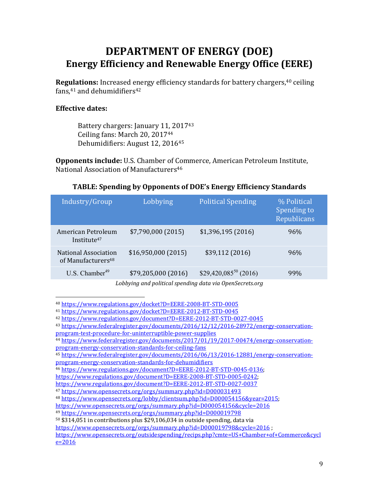### **DEPARTMENT OF ENERGY (DOE) Energy Efficiency and Renewable Energy Office (EERE)**

**Regulations:** Increased energy efficiency standards for battery chargers,<sup>40</sup> ceiling fans, $41$  and dehumidifiers $42$ 

#### **Effective dates:**

Battery chargers: January 11, 2017<sup>43</sup> Ceiling fans: March 20, 2017<sup>44</sup> Dehumidifiers: August 12, 2016<sup>45</sup>

**Opponents include:** U.S. Chamber of Commerce, American Petroleum Institute, National Association of Manufacturers<sup>46</sup>

|  | TABLE: Spending by Opponents of DOE's Energy Efficiency Standards |  |
|--|-------------------------------------------------------------------|--|
|  |                                                                   |  |

| Industry/Group                                         | Lobbying            | <b>Political Spending</b> | % Political<br>Spending to<br>Republicans |
|--------------------------------------------------------|---------------------|---------------------------|-------------------------------------------|
| American Petroleum<br>Institute <sup>47</sup>          | \$7,790,000(2015)   | \$1,396,195(2016)         | 96%                                       |
| National Association<br>of Manufacturers <sup>48</sup> | \$16,950,000(2015)  | \$39,112 (2016)           | 96%                                       |
| U.S. Chamber <sup>49</sup>                             | \$79,205,000 (2016) | $$29,420,085^{50} (2016)$ | 99%                                       |

Lobbying and political spending data via OpenSecrets.org

 

 $50$  \$314,051 in contributions plus \$29,106,034 in outside spending, data via

<sup>40</sup> https://www.regulations.gov/docket?D=EERE-2008-BT-STD-0005

<sup>41</sup> https://www.regulations.gov/docket?D=EERE-2012-BT-STD-0045

<sup>42</sup> https://www.regulations.gov/document?D=EERE-2012-BT-STD-0027-0045

<sup>43</sup> https://www.federalregister.gov/documents/2016/12/12/2016-28972/energy-conservation-

program-test-procedure-for-uninterruptible-power-supplies

<sup>44</sup> https://www.federalregister.gov/documents/2017/01/19/2017-00474/energy-conservationprogram-energy-conservation-standards-for-ceiling-fans

<sup>45</sup> https://www.federalregister.gov/documents/2016/06/13/2016-12881/energy-conservationprogram-energy-conservation-standards-for-dehumidifiers

<sup>46</sup> https://www.regulations.gov/document?D=EERE-2012-BT-STD-0045-0136; 

https://www.regulations.gov/document?D=EERE-2008-BT-STD-0005-0242; 

https://www.regulations.gov/document?D=EERE-2012-BT-STD-0027-0037

<sup>47</sup> https://www.opensecrets.org/orgs/summary.php?id=D000031493

<sup>48</sup> https://www.opensecrets.org/lobby/clientsum.php?id=D000054156&year=2015; 

https://www.opensecrets.org/orgs/summary.php?id=D000054156&cycle=2016

<sup>49</sup> https://www.opensecrets.org/orgs/summary.php?id=D000019798

https://www.opensecrets.org/orgs/summary.php?id=D000019798&cycle=2016 ;

https://www.opensecrets.org/outsidespending/recips.php?cmte=US+Chamber+of+Commerce&cycl  $e = 2016$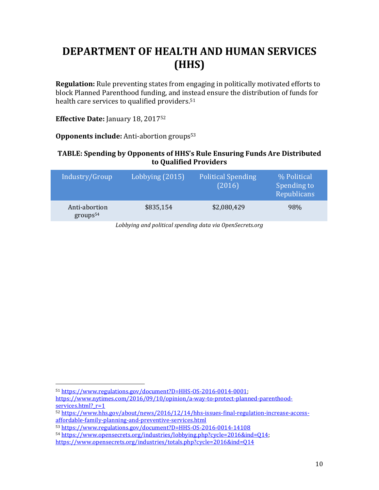## **DEPARTMENT OF HEALTH AND HUMAN SERVICES (HHS)**

**Regulation:** Rule preventing states from engaging in politically motivated efforts to block Planned Parenthood funding, and instead ensure the distribution of funds for health care services to qualified providers.<sup>51</sup>

**Effective Date:** January 18, 2017<sup>52</sup>

**Opponents include:** Anti-abortion groups<sup>53</sup>

### **TABLE: Spending by Opponents of HHS's Rule Ensuring Funds Are Distributed to Qualified Providers**

| Industry/Group                        | Lobbying (2015) | Political Spending<br>(2016) | % Political<br>Spending to<br>Republicans |
|---------------------------------------|-----------------|------------------------------|-------------------------------------------|
| Anti-abortion<br>groups <sup>54</sup> | \$835,154       | \$2,080,429                  | 98%                                       |

 <sup>51</sup> https://www.regulations.gov/document?D=HHS-OS-2016-0014-0001; https://www.nytimes.com/2016/09/10/opinion/a-way-to-protect-planned-parenthoodservices.html? r=1

<sup>52</sup> https://www.hhs.gov/about/news/2016/12/14/hhs-issues-final-regulation-increase-accessaffordable-family-planning-and-preventive-services.html

<sup>53</sup> https://www.regulations.gov/document?D=HHS-OS-2016-0014-14108

<sup>54</sup> https://www.opensecrets.org/industries/lobbying.php?cycle=2016&ind=Q14; 

https://www.opensecrets.org/industries/totals.php?cycle=2016&ind=Q14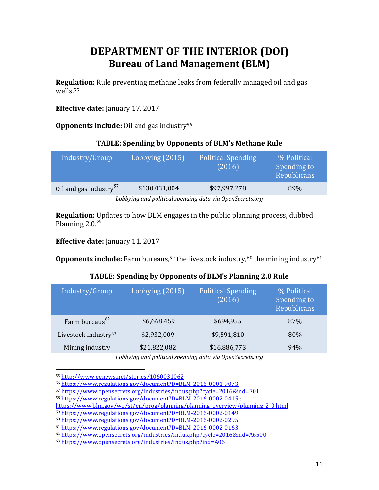## **DEPARTMENT OF THE INTERIOR (DOI) Bureau of Land Management (BLM)**

**Regulation:** Rule preventing methane leaks from federally managed oil and gas wells.55

**Effective date:** January 17, 2017

**Opponents include:** Oil and gas industry<sup>56</sup>

### **TABLE: Spending by Opponents of BLM's Methane Rule**

| Industry/Group                                            | Lobbying (2015) | <b>Political Spending</b><br>(2016) | % Political<br>Spending to<br>Republicans |
|-----------------------------------------------------------|-----------------|-------------------------------------|-------------------------------------------|
| Oil and gas industry <sup>57</sup>                        | \$130,031,004   | \$97,997,278                        | 89%                                       |
| I ohhving and nolitical spending data via OpenSecrets ora |                 |                                     |                                           |

*Lobbying and political spending data via OpenSecrets.org*

**Regulation:** Updates to how BLM engages in the public planning process, dubbed Planning  $2.0.^{58}$ 

**Effective date:** January 11, 2017

**Opponents include:** Farm bureaus,<sup>59</sup> the livestock industry,<sup>60</sup> the mining industry<sup>61</sup>

### TABLE: Spending by Opponents of BLM's Planning 2.0 Rule

| Industry/Group                   | Lobbying (2015) | <b>Political Spending</b><br>(2016) | % Political<br>Spending to<br>Republicans |
|----------------------------------|-----------------|-------------------------------------|-------------------------------------------|
| Farm bureaus <sup>62</sup>       | \$6,668,459     | \$694,955                           | 87%                                       |
| Livestock industry <sup>63</sup> | \$2,932,009     | \$9,591,810                         | 80%                                       |
| Mining industry                  | \$21,822,082    | \$16,886,773                        | 94%                                       |
|                                  |                 |                                     |                                           |

Lobbying and political spending data via OpenSecrets.org

<sup>55</sup> http://www.eenews.net/stories/1060031062

<sup>56</sup> https://www.regulations.gov/document?D=BLM-2016-0001-9073

<sup>57</sup> https://www.opensecrets.org/industries/indus.php?cycle=2016&ind=E01

<sup>58</sup> https://www.regulations.gov/document?D=BLM-2016-0002-0415 ;

https://www.blm.gov/wo/st/en/prog/planning/planning\_overview/planning\_2\_0.html

<sup>59</sup> https://www.regulations.gov/document?D=BLM-2016-0002-0149

<sup>60</sup> https://www.regulations.gov/document?D=BLM-2016-0002-0295

<sup>61</sup> https://www.regulations.gov/document?D=BLM-2016-0002-0163

<sup>62</sup> https://www.opensecrets.org/industries/indus.php?cycle=2016&ind=A6500

<sup>63</sup> https://www.opensecrets.org/industries/indus.php?ind=A06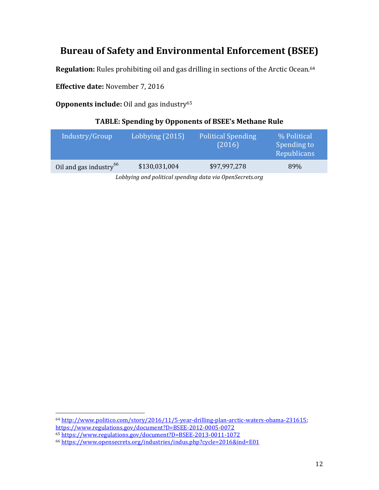### **Bureau of Safety and Environmental Enforcement (BSEE)**

**Regulation:** Rules prohibiting oil and gas drilling in sections of the Arctic Ocean.<sup>64</sup>

**Effective date:** November 7, 2016

**Opponents include:** Oil and gas industry<sup>65</sup>

### TABLE: Spending by Opponents of BSEE's Methane Rule

| Industry/Group                     | Lobbying (2015) | <b>Political Spending</b><br>(2016) | % Political<br>Spending to<br>Republicans |
|------------------------------------|-----------------|-------------------------------------|-------------------------------------------|
| Oil and gas industry <sup>66</sup> | \$130,031,004   | \$97,997,278                        | 89%                                       |
|                                    |                 |                                     |                                           |

Lobbying and political spending data via OpenSecrets.org

<sup>64</sup> http://www.politico.com/story/2016/11/5-year-drilling-plan-arctic-waters-obama-231615; https://www.regulations.gov/document?D=BSEE-2012-0005-0072 <sup>65</sup> https://www.regulations.gov/document?D=BSEE-2013-0011-1072

<sup>66</sup> https://www.opensecrets.org/industries/indus.php?cycle=2016&ind=E01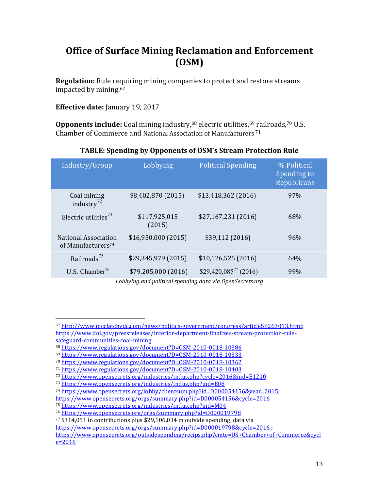### **Office of Surface Mining Reclamation and Enforcement (OSM)**

**Regulation:** Rule requiring mining companies to protect and restore streams impacted by mining.<sup>67</sup>

**Effective date:** January 19, 2017

 

**Opponents include:** Coal mining industry,<sup>68</sup> electric utilities,<sup>69</sup> railroads,<sup>70</sup> U.S. Chamber of Commerce and National Association of Manufacturers<sup>71</sup>

| Industry/Group                                         | Lobbying                | <b>Political Spending</b> | % Political<br>Spending to<br>Republicans |
|--------------------------------------------------------|-------------------------|---------------------------|-------------------------------------------|
| Coal mining<br>industry $^{72}$                        | \$8,402,870 (2015)      | $$13,418,362$ (2016)      | 97%                                       |
| Electric utilities <sup>73</sup>                       | \$117,925,015<br>(2015) | \$27,167,231 (2016)       | 68%                                       |
| National Association<br>of Manufacturers <sup>74</sup> | \$16,950,000(2015)      | \$39,112 (2016)           | 96%                                       |
| Railroads <sup>75</sup>                                | \$29,345,979 (2015)     | \$10,126,525(2016)        | 64%                                       |
| U.S. Chamber <sup>76</sup>                             | \$79,205,000 (2016)     | $$29,420,085^{77} (2016)$ | 99%                                       |

### TABLE: Spending by Opponents of OSM's Stream Protection Rule

<sup>67</sup> http://www.mcclatchydc.com/news/politics-government/congress/article58263013.html; https://www.doi.gov/pressreleases/interior-department-finalizes-stream-protection-rulesafeguard-communities-coal-mining

<sup>68</sup> https://www.regulations.gov/document?D=OSM-2010-0018-10386

<sup>69</sup> https://www.regulations.gov/document?D=OSM-2010-0018-10333

<sup>70</sup> https://www.regulations.gov/document?D=OSM-2010-0018-10362

<sup>71</sup> https://www.regulations.gov/document?D=OSM-2010-0018-10403

<sup>72</sup> https://www.opensecrets.org/industries/indus.php?cycle=2016&ind=E1210

<sup>73</sup> https://www.opensecrets.org/industries/indus.php?ind=E08

<sup>74</sup> https://www.opensecrets.org/lobby/clientsum.php?id=D000054156&year=2015; 

https://www.opensecrets.org/orgs/summary.php?id=D000054156&cycle=2016

<sup>75</sup> https://www.opensecrets.org/industries/indus.php?ind=M04

<sup>76</sup> https://www.opensecrets.org/orgs/summary.php?id=D000019798

 $77$  \$314,051 in contributions plus \$29,106,034 in outside spending, data via

https://www.opensecrets.org/orgs/summary.php?id=D000019798&cycle=2016 ;

https://www.opensecrets.org/outsidespending/recips.php?cmte=US+Chamber+of+Commerce&cycl  $e = 2016$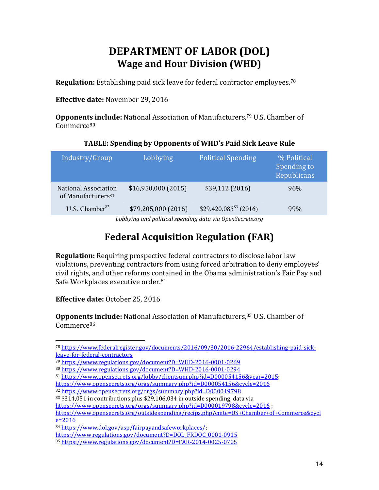## **DEPARTMENT OF LABOR (DOL) Wage and Hour Division (WHD)**

**Regulation:** Establishing paid sick leave for federal contractor employees.<sup>78</sup>

**Effective date:** November 29, 2016

**Opponents include:** National Association of Manufacturers,<sup>79</sup> U.S. Chamber of Commerce80

### TABLE: Spending by Opponents of WHD's Paid Sick Leave Rule

| Industry/Group                                         | Lobbying            | <b>Political Spending</b> | % Political<br>Spending to<br>Republicans |
|--------------------------------------------------------|---------------------|---------------------------|-------------------------------------------|
| National Association<br>of Manufacturers <sup>81</sup> | \$16,950,000(2015)  | \$39,112 (2016)           | 96%                                       |
| U.S. Chamber $^{82}$                                   | \$79,205,000 (2016) | $$29,420,085^{83} (2016)$ | 99%                                       |
|                                                        |                     |                           |                                           |

Lobbying and political spending data via OpenSecrets.org

## **Federal Acquisition Regulation (FAR)**

**Regulation:** Requiring prospective federal contractors to disclose labor law violations, preventing contractors from using forced arbitration to deny employees' civil rights, and other reforms contained in the Obama administration's Fair Pay and Safe Workplaces executive order.<sup>84</sup>

**Effective date:** October 25, 2016

 

**Opponents include:** National Association of Manufacturers,<sup>85</sup> U.S. Chamber of Commerce86

<sup>78</sup> https://www.federalregister.gov/documents/2016/09/30/2016-22964/establishing-paid-sickleave-for-federal-contractors

<sup>79</sup> https://www.regulations.gov/document?D=WHD-2016-0001-0269

<sup>80</sup> https://www.regulations.gov/document?D=WHD-2016-0001-0294

<sup>81</sup> https://www.opensecrets.org/lobby/clientsum.php?id=D000054156&year=2015; 

https://www.opensecrets.org/orgs/summary.php?id=D000054156&cycle=2016

<sup>82</sup> https://www.opensecrets.org/orgs/summary.php?id=D000019798

 $83$  \$314,051 in contributions plus \$29,106,034 in outside spending, data via

https://www.opensecrets.org/orgs/summary.php?id=D000019798&cycle=2016 ;

https://www.opensecrets.org/outsidespending/recips.php?cmte=US+Chamber+of+Commerce&cycl  $e = 2016$ 

<sup>84</sup> https://www.dol.gov/asp/fairpayandsafeworkplaces/; 

https://www.regulations.gov/document?D=DOL\_FRDOC\_0001-0915

<sup>85</sup> https://www.regulations.gov/document?D=FAR-2014-0025-0705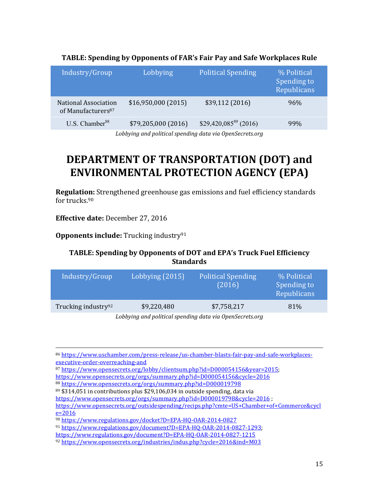| Industry/Group                                                | Lobbying            | <b>Political Spending</b> | % Political<br>Spending to<br>Republicans |
|---------------------------------------------------------------|---------------------|---------------------------|-------------------------------------------|
| <b>National Association</b><br>of Manufacturers <sup>87</sup> | \$16,950,000(2015)  | \$39,112(2016)            | 96%                                       |
| U.S. Chamber <sup>88</sup>                                    | \$79,205,000 (2016) | $$29,420,085^{89} (2016)$ | 99%                                       |

#### TABLE: Spending by Opponents of FAR's Fair Pay and Safe Workplaces Rule

Lobbying and political spending data via OpenSecrets.org

## **DEPARTMENT OF TRANSPORTATION (DOT) and ENVIRONMENTAL PROTECTION AGENCY (EPA)**

**Regulation:** Strengthened greenhouse gas emissions and fuel efficiency standards for trucks. $90$ 

**Effective date:** December 27, 2016

**Opponents include:** Trucking industry<sup>91</sup>

### TABLE: Spending by Opponents of DOT and EPA's Truck Fuel Efficiency **Standards**

| Industry/Group                  | Lobbying (2015) | <b>Political Spending</b><br>(2016) | % Political<br>Spending to<br>Republicans |
|---------------------------------|-----------------|-------------------------------------|-------------------------------------------|
| Trucking industry <sup>92</sup> | \$9,220,480     | \$7,758,217                         | 81\%                                      |
|                                 |                 |                                     |                                           |

Lobbying and political spending data via OpenSecrets.org

<u> 1989 - Andrea San Andrea San Andrea San Andrea San Andrea San Andrea San Andrea San Andrea San Andrea San An</u>

<sup>86</sup> https://www.uschamber.com/press-release/us-chamber-blasts-fair-pay-and-safe-workplacesexecutive-order-overreaching-and

<sup>87</sup> https://www.opensecrets.org/lobby/clientsum.php?id=D000054156&year=2015; https://www.opensecrets.org/orgs/summary.php?id=D000054156&cycle=2016

<sup>88</sup> https://www.opensecrets.org/orgs/summary.php?id=D000019798

 $89$  \$314,051 in contributions plus \$29,106,034 in outside spending, data via

https://www.opensecrets.org/orgs/summary.php?id=D000019798&cycle=2016;

https://www.opensecrets.org/outsidespending/recips.php?cmte=US+Chamber+of+Commerce&cycl  $e = 2016$ 

<sup>90</sup> https://www.regulations.gov/docket?D=EPA-HQ-OAR-2014-0827

<sup>91</sup> https://www.regulations.gov/document?D=EPA-HQ-OAR-2014-0827-1293; 

https://www.regulations.gov/document?D=EPA-HQ-OAR-2014-0827-1215

<sup>92</sup> https://www.opensecrets.org/industries/indus.php?cycle=2016&ind=M03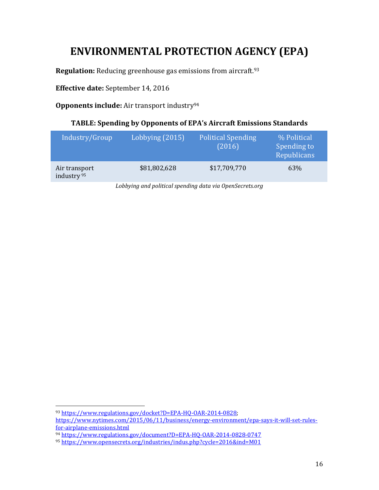## **ENVIRONMENTAL PROTECTION AGENCY (EPA)**

**Regulation:** Reducing greenhouse gas emissions from aircraft.<sup>93</sup>

**Effective date:** September 14, 2016

**Opponents include:** Air transport industry<sup>94</sup>

### TABLE: Spending by Opponents of EPA's Aircraft Emissions Standards

| Industry/Group                          | Lobbying (2015) | <b>Political Spending</b><br>(2016) | % Political<br>Spending to<br>Republicans |
|-----------------------------------------|-----------------|-------------------------------------|-------------------------------------------|
| Air transport<br>industry <sup>95</sup> | \$81,802,628    | \$17,709,770                        | 63%                                       |

Lobbying and political spending data via OpenSecrets.org

<sup>93</sup> https://www.regulations.gov/docket?D=EPA-HQ-OAR-2014-0828; 

https://www.nytimes.com/2015/06/11/business/energy-environment/epa-says-it-will-set-rulesfor-airplane-emissions.html

<sup>94</sup> https://www.regulations.gov/document?D=EPA-HQ-OAR-2014-0828-0747

<sup>95</sup> https://www.opensecrets.org/industries/indus.php?cycle=2016&ind=M01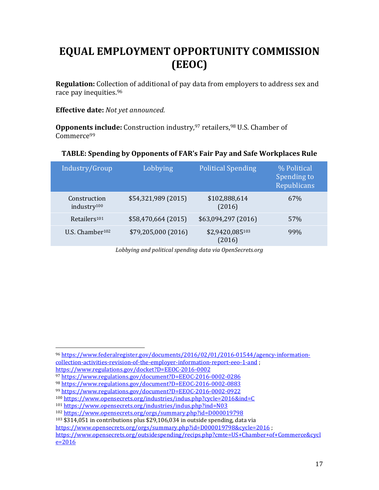# **EQUAL EMPLOYMENT OPPORTUNITY COMMISSION (EEOC)**

**Regulation:** Collection of additional of pay data from employers to address sex and race pay inequities.<sup>96</sup>

#### **Effective date:** Not yet announced.

**Opponents include:** Construction industry,<sup>97</sup> retailers,<sup>98</sup> U.S. Chamber of Commerce99

### **TABLE: Spending by Opponents of FAR's Fair Pay and Safe Workplaces Rule**

| Industry/Group                          | Lobbying            | <b>Political Spending</b> | % Political<br>Spending to<br>Republicans |
|-----------------------------------------|---------------------|---------------------------|-------------------------------------------|
| Construction<br>industry <sup>100</sup> | \$54,321,989 (2015) | \$102,888,614<br>(2016)   | 67%                                       |
| Retailers <sup>101</sup>                | \$58,470,664 (2015) | \$63,094,297 (2016)       | 57%                                       |
| U.S. Chamber <sup>102</sup>             | \$79,205,000 (2016) | \$2,9420,085103<br>(2016) | 99%                                       |
|                                         |                     |                           |                                           |

Lobbying and political spending data via OpenSecrets.org

 

 $103$  \$314,051 in contributions plus \$29,106,034 in outside spending, data via

<sup>96</sup> https://www.federalregister.gov/documents/2016/02/01/2016-01544/agency-informationcollection-activities-revision-of-the-employer-information-report-eeo-1-and ; 

https://www.regulations.gov/docket?D=EEOC-2016-0002

<sup>97</sup> https://www.regulations.gov/document?D=EEOC-2016-0002-0286

<sup>98</sup> https://www.regulations.gov/document?D=EEOC-2016-0002-0883

<sup>99</sup> https://www.regulations.gov/document?D=EEOC-2016-0002-0922

<sup>100</sup> https://www.opensecrets.org/industries/indus.php?cycle=2016&ind=C

<sup>101</sup> https://www.opensecrets.org/industries/indus.php?ind=N03

<sup>102</sup> https://www.opensecrets.org/orgs/summary.php?id=D000019798

https://www.opensecrets.org/orgs/summary.php?id=D000019798&cycle=2016 ;

https://www.opensecrets.org/outsidespending/recips.php?cmte=US+Chamber+of+Commerce&cycl  $e = 2016$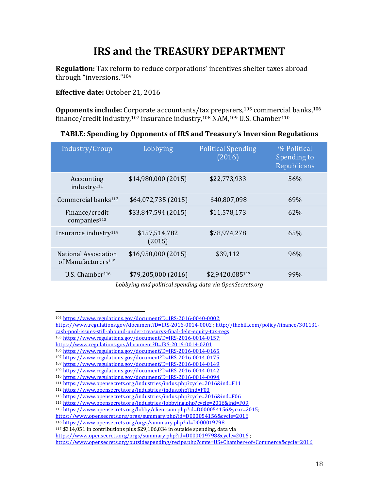## **IRS** and the **TREASURY DEPARTMENT**

**Regulation:** Tax reform to reduce corporations' incentives shelter taxes abroad through "inversions."<sup>104</sup>

**Effective date:** October 21, 2016

**Opponents include:** Corporate accountants/tax preparers,<sup>105</sup> commercial banks,<sup>106</sup> finance/credit industry,<sup>107</sup> insurance industry,<sup>108</sup> NAM,<sup>109</sup> U.S. Chamber<sup>110</sup>

#### **TABLE: Spending by Opponents of IRS and Treasury's Inversion Regulations**

| (2016)                                  | % Political<br>Spending to<br>Republicans |
|-----------------------------------------|-------------------------------------------|
| \$14,980,000 (2015)<br>\$22,773,933     | 56%                                       |
| \$64,072,735 (2015)<br>\$40,807,098     | 69%                                       |
| \$33,847,594 (2015)<br>\$11,578,173     | 62%                                       |
| \$78,974,278<br>\$157,514,782<br>(2015) | 65%                                       |
| \$16,950,000 (2015)<br>\$39,112         | 96%                                       |
| \$79,205,000 (2016)<br>\$2,9420,085117  | 99%                                       |
|                                         | <b>Political Spending</b><br>Lobbying     |

Lobbying and political spending data via OpenSecrets.org

cash-pool-issues-still-abound-under-treasurys-final-debt-equity-tax-regs

 <sup>104</sup> https://www.regulations.gov/document?D=IRS-2016-0040-0002; 

https://www.regulations.gov/document?D=IRS-2016-0014-0002 : http://thehill.com/policy/finance/301131-

<sup>105</sup> https://www.regulations.gov/document?D=IRS-2016-0014-0157; 

https://www.regulations.gov/document?D=IRS-2016-0014-0201

<sup>106</sup> https://www.regulations.gov/document?D=IRS-2016-0014-0165

<sup>107</sup> https://www.regulations.gov/document?D=IRS-2016-0014-0175

<sup>108</sup> https://www.regulations.gov/document?D=IRS-2016-0014-0149

<sup>109</sup> https://www.regulations.gov/document?D=IRS-2016-0014-0142

<sup>110</sup> https://www.regulations.gov/document?D=IRS-2016-0014-0094 <sup>111</sup> https://www.opensecrets.org/industries/indus.php?cycle=2016&ind=F11

<sup>112</sup> https://www.opensecrets.org/industries/indus.php?ind=F03

<sup>113</sup> https://www.opensecrets.org/industries/indus.php?cycle=2016&ind=F06

<sup>114</sup> https://www.opensecrets.org/industries/lobbying.php?cycle=2016&ind=F09

<sup>115</sup> https://www.opensecrets.org/lobby/clientsum.php?id=D000054156&year=2015; 

https://www.opensecrets.org/orgs/summary.php?id=D000054156&cycle=2016

<sup>116</sup> https://www.opensecrets.org/orgs/summary.php?id=D000019798

 $117$  \$314,051 in contributions plus \$29,106,034 in outside spending, data via

https://www.opensecrets.org/orgs/summary.php?id=D000019798&cycle=2016 ;

https://www.opensecrets.org/outsidespending/recips.php?cmte=US+Chamber+of+Commerce&cycle=2016